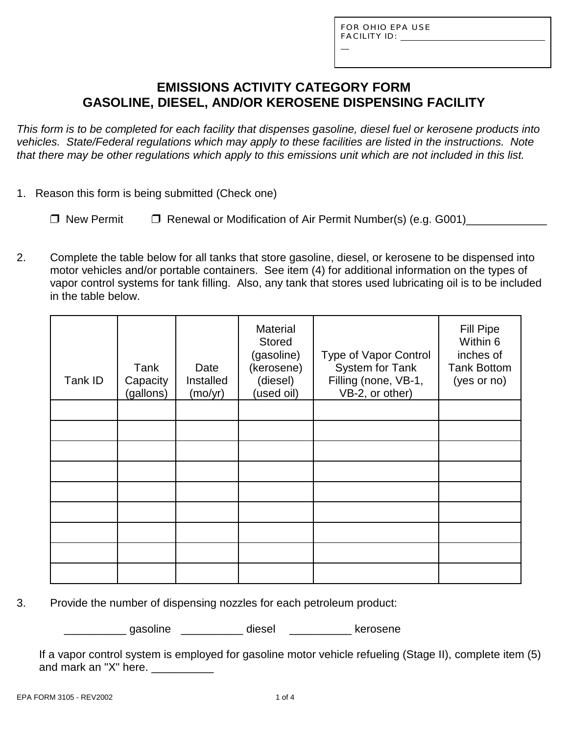L

## **EMISSIONS ACTIVITY CATEGORY FORM GASOLINE, DIESEL, AND/OR KEROSENE DISPENSING FACILITY**

*This form is to be completed for each facility that dispenses gasoline, diesel fuel or kerosene products into vehicles. State/Federal regulations which may apply to these facilities are listed in the instructions. Note that there may be other regulations which apply to this emissions unit which are not included in this list.*

- 1. Reason this form is being submitted (Check one)
	- $\Box$  New Permit  $\Box$  Renewal or Modification of Air Permit Number(s) (e.g. G001)
- 2. Complete the table below for all tanks that store gasoline, diesel, or kerosene to be dispensed into motor vehicles and/or portable containers. See item (4) for additional information on the types of vapor control systems for tank filling. Also, any tank that stores used lubricating oil is to be included in the table below.

| Tank ID | Tank<br>Capacity<br>(gallons) | Date<br>Installed<br>(mo/yr) | <b>Material</b><br><b>Stored</b><br>(gasoline)<br>(kerosene)<br>(diesel)<br>(used oil) | Type of Vapor Control<br>System for Tank<br>Filling (none, VB-1,<br>VB-2, or other) | <b>Fill Pipe</b><br>Within 6<br>inches of<br><b>Tank Bottom</b><br>(yes or no) |
|---------|-------------------------------|------------------------------|----------------------------------------------------------------------------------------|-------------------------------------------------------------------------------------|--------------------------------------------------------------------------------|
|         |                               |                              |                                                                                        |                                                                                     |                                                                                |
|         |                               |                              |                                                                                        |                                                                                     |                                                                                |
|         |                               |                              |                                                                                        |                                                                                     |                                                                                |
|         |                               |                              |                                                                                        |                                                                                     |                                                                                |
|         |                               |                              |                                                                                        |                                                                                     |                                                                                |
|         |                               |                              |                                                                                        |                                                                                     |                                                                                |
|         |                               |                              |                                                                                        |                                                                                     |                                                                                |
|         |                               |                              |                                                                                        |                                                                                     |                                                                                |
|         |                               |                              |                                                                                        |                                                                                     |                                                                                |

3. Provide the number of dispensing nozzles for each petroleum product:

qasoline diesel kerosene

If a vapor control system is employed for gasoline motor vehicle refueling (Stage II), complete item (5) and mark an "X" here. \_\_\_\_\_\_\_\_\_\_\_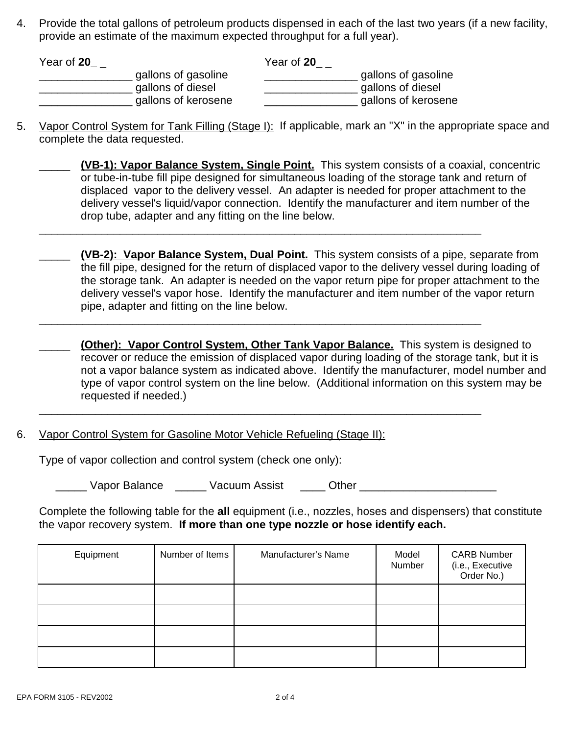4. Provide the total gallons of petroleum products dispensed in each of the last two years (if a new facility, provide an estimate of the maximum expected throughput for a full year).

| Year of 20          | Year of 20 |                     |
|---------------------|------------|---------------------|
| gallons of gasoline |            | gallons of gasoline |
| gallons of diesel   |            | gallons of diesel   |
| gallons of kerosene |            | gallons of kerosene |

\_\_\_\_\_\_\_\_\_\_\_\_\_\_\_\_\_\_\_\_\_\_\_\_\_\_\_\_\_\_\_\_\_\_\_\_\_\_\_\_\_\_\_\_\_\_\_\_\_\_\_\_\_\_\_\_\_\_\_\_\_\_\_\_\_\_\_\_\_\_\_

\_\_\_\_\_\_\_\_\_\_\_\_\_\_\_\_\_\_\_\_\_\_\_\_\_\_\_\_\_\_\_\_\_\_\_\_\_\_\_\_\_\_\_\_\_\_\_\_\_\_\_\_\_\_\_\_\_\_\_\_\_\_\_\_\_\_\_\_\_\_\_

\_\_\_\_\_\_\_\_\_\_\_\_\_\_\_\_\_\_\_\_\_\_\_\_\_\_\_\_\_\_\_\_\_\_\_\_\_\_\_\_\_\_\_\_\_\_\_\_\_\_\_\_\_\_\_\_\_\_\_\_\_\_\_\_\_\_\_\_\_\_\_

5. Vapor Control System for Tank Filling (Stage I): If applicable, mark an "X" in the appropriate space and complete the data requested.

| (VB-1): Vapor Balance System, Single Point. This system consists of a coaxial, concentric     |
|-----------------------------------------------------------------------------------------------|
| or tube-in-tube fill pipe designed for simultaneous loading of the storage tank and return of |
| displaced vapor to the delivery vessel. An adapter is needed for proper attachment to the     |
| delivery vessel's liquid/vapor connection. Identify the manufacturer and item number of the   |
| drop tube, adapter and any fitting on the line below.                                         |

\_\_\_\_\_ **(VB-2): Vapor Balance System, Dual Point.** This system consists of a pipe, separate from the fill pipe, designed for the return of displaced vapor to the delivery vessel during loading of the storage tank. An adapter is needed on the vapor return pipe for proper attachment to the delivery vessel's vapor hose. Identify the manufacturer and item number of the vapor return pipe, adapter and fitting on the line below.

\_\_\_\_\_ **(Other): Vapor Control System, Other Tank Vapor Balance.** This system is designed to recover or reduce the emission of displaced vapor during loading of the storage tank, but it is not a vapor balance system as indicated above. Identify the manufacturer, model number and type of vapor control system on the line below. (Additional information on this system may be requested if needed.)

6. Vapor Control System for Gasoline Motor Vehicle Refueling (Stage II):

Type of vapor collection and control system (check one only):

Vapor Balance **Wacuum Assist** Cther **Other Wacuum Assist** 

Complete the following table for the **all** equipment (i.e., nozzles, hoses and dispensers) that constitute the vapor recovery system. **If more than one type nozzle or hose identify each.**

| Equipment | Number of Items | Manufacturer's Name | Model<br>Number | <b>CARB Number</b><br>(i.e., Executive<br>Order No.) |
|-----------|-----------------|---------------------|-----------------|------------------------------------------------------|
|           |                 |                     |                 |                                                      |
|           |                 |                     |                 |                                                      |
|           |                 |                     |                 |                                                      |
|           |                 |                     |                 |                                                      |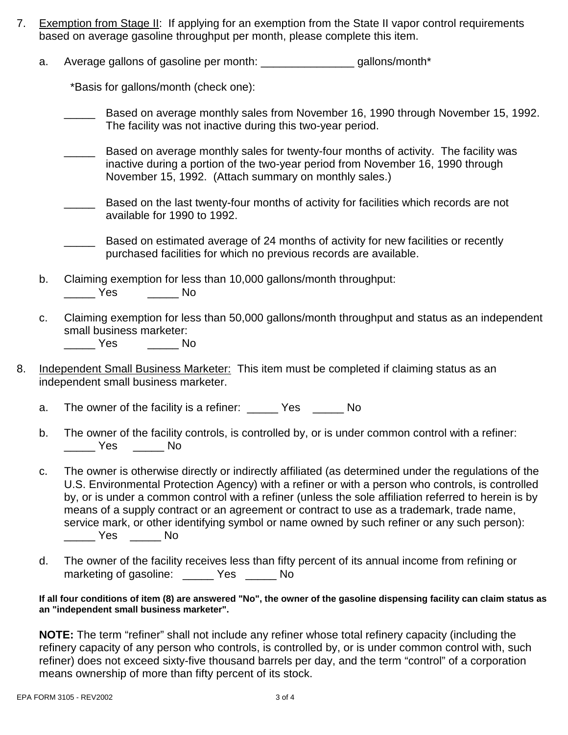- 7. Exemption from Stage II: If applying for an exemption from the State II vapor control requirements based on average gasoline throughput per month, please complete this item.
	- a. Average gallons of gasoline per month: \_\_\_\_\_\_\_\_\_\_\_\_\_\_\_\_\_\_\_ gallons/month\*

\*Basis for gallons/month (check one):

Based on average monthly sales from November 16, 1990 through November 15, 1992. The facility was not inactive during this two-year period.

Based on average monthly sales for twenty-four months of activity. The facility was inactive during a portion of the two-year period from November 16, 1990 through November 15, 1992. (Attach summary on monthly sales.)

Based on the last twenty-four months of activity for facilities which records are not available for 1990 to 1992.

Based on estimated average of 24 months of activity for new facilities or recently purchased facilities for which no previous records are available.

- b. Claiming exemption for less than 10,000 gallons/month throughput: \_\_\_\_\_ Yes \_\_\_\_\_ No
- c. Claiming exemption for less than 50,000 gallons/month throughput and status as an independent small business marketer:

\_\_\_\_\_ Yes \_\_\_\_\_ No

- 8. Independent Small Business Marketer: This item must be completed if claiming status as an independent small business marketer.
	- a. The owner of the facility is a refiner: \_\_\_\_\_ Yes \_\_\_\_\_ No
	- b. The owner of the facility controls, is controlled by, or is under common control with a refiner: \_\_\_\_\_ Yes \_\_\_\_\_ No
	- c. The owner is otherwise directly or indirectly affiliated (as determined under the regulations of the U.S. Environmental Protection Agency) with a refiner or with a person who controls, is controlled by, or is under a common control with a refiner (unless the sole affiliation referred to herein is by means of a supply contract or an agreement or contract to use as a trademark, trade name, service mark, or other identifying symbol or name owned by such refiner or any such person): \_\_\_\_\_ Yes \_\_\_\_\_ No
	- d. The owner of the facility receives less than fifty percent of its annual income from refining or marketing of gasoline: \_\_\_\_\_ Yes \_\_\_\_\_ No

#### **If all four conditions of item (8) are answered "No", the owner of the gasoline dispensing facility can claim status as an "independent small business marketer".**

**NOTE:** The term "refiner" shall not include any refiner whose total refinery capacity (including the refinery capacity of any person who controls, is controlled by, or is under common control with, such refiner) does not exceed sixty-five thousand barrels per day, and the term "control" of a corporation means ownership of more than fifty percent of its stock.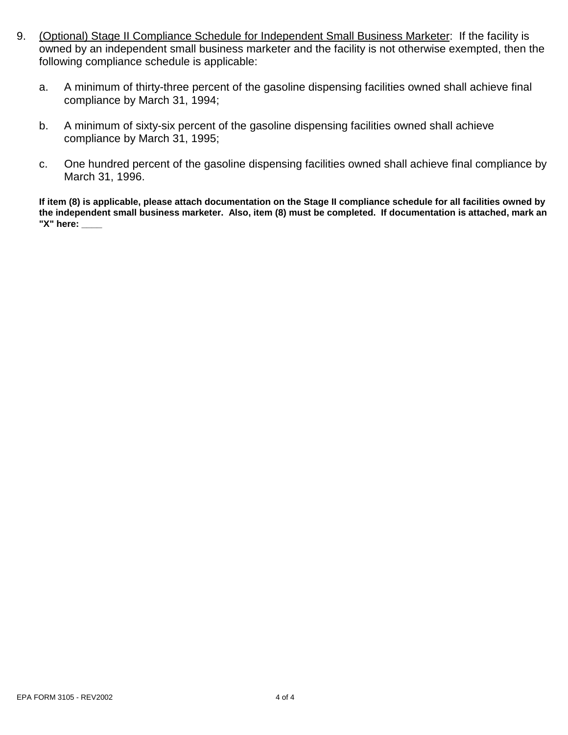- 9. (Optional) Stage II Compliance Schedule for Independent Small Business Marketer: If the facility is owned by an independent small business marketer and the facility is not otherwise exempted, then the following compliance schedule is applicable:
	- a. A minimum of thirty-three percent of the gasoline dispensing facilities owned shall achieve final compliance by March 31, 1994;
	- b. A minimum of sixty-six percent of the gasoline dispensing facilities owned shall achieve compliance by March 31, 1995;
	- c. One hundred percent of the gasoline dispensing facilities owned shall achieve final compliance by March 31, 1996.

**If item (8) is applicable, please attach documentation on the Stage II compliance schedule for all facilities owned by the independent small business marketer. Also, item (8) must be completed. If documentation is attached, mark an "X" here: \_\_\_\_**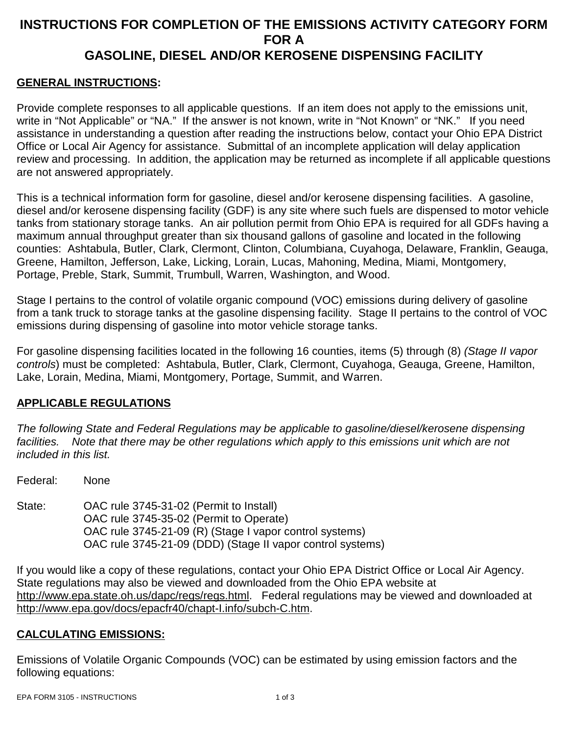# **INSTRUCTIONS FOR COMPLETION OF THE EMISSIONS ACTIVITY CATEGORY FORM FOR A GASOLINE, DIESEL AND/OR KEROSENE DISPENSING FACILITY**

## **GENERAL INSTRUCTIONS:**

Provide complete responses to all applicable questions. If an item does not apply to the emissions unit, write in "Not Applicable" or "NA." If the answer is not known, write in "Not Known" or "NK." If you need assistance in understanding a question after reading the instructions below, contact your Ohio EPA District Office or Local Air Agency for assistance. Submittal of an incomplete application will delay application review and processing. In addition, the application may be returned as incomplete if all applicable questions are not answered appropriately.

This is a technical information form for gasoline, diesel and/or kerosene dispensing facilities. A gasoline, diesel and/or kerosene dispensing facility (GDF) is any site where such fuels are dispensed to motor vehicle tanks from stationary storage tanks. An air pollution permit from Ohio EPA is required for all GDFs having a maximum annual throughput greater than six thousand gallons of gasoline and located in the following counties: Ashtabula, Butler, Clark, Clermont, Clinton, Columbiana, Cuyahoga, Delaware, Franklin, Geauga, Greene, Hamilton, Jefferson, Lake, Licking, Lorain, Lucas, Mahoning, Medina, Miami, Montgomery, Portage, Preble, Stark, Summit, Trumbull, Warren, Washington, and Wood.

Stage I pertains to the control of volatile organic compound (VOC) emissions during delivery of gasoline from a tank truck to storage tanks at the gasoline dispensing facility. Stage II pertains to the control of VOC emissions during dispensing of gasoline into motor vehicle storage tanks.

For gasoline dispensing facilities located in the following 16 counties, items (5) through (8) *(Stage II vapor controls*) must be completed: Ashtabula, Butler, Clark, Clermont, Cuyahoga, Geauga, Greene, Hamilton, Lake, Lorain, Medina, Miami, Montgomery, Portage, Summit, and Warren.

### **APPLICABLE REGULATIONS**

*The following State and Federal Regulations may be applicable to gasoline/diesel/kerosene dispensing facilities. Note that there may be other regulations which apply to this emissions unit which are not included in this list.*

Federal: None

State: OAC rule 3745-31-02 (Permit to Install) OAC rule 3745-35-02 (Permit to Operate) OAC rule 3745-21-09 (R) (Stage I vapor control systems) OAC rule 3745-21-09 (DDD) (Stage II vapor control systems)

If you would like a copy of these regulations, contact your Ohio EPA District Office or Local Air Agency. State regulations may also be viewed and downloaded from the Ohio EPA website at http://www.epa.state.oh.us/dapc/regs/regs.html. Federal regulations may be viewed and downloaded at http://www.epa.gov/docs/epacfr40/chapt-I.info/subch-C.htm.

### **CALCULATING EMISSIONS:**

Emissions of Volatile Organic Compounds (VOC) can be estimated by using emission factors and the following equations: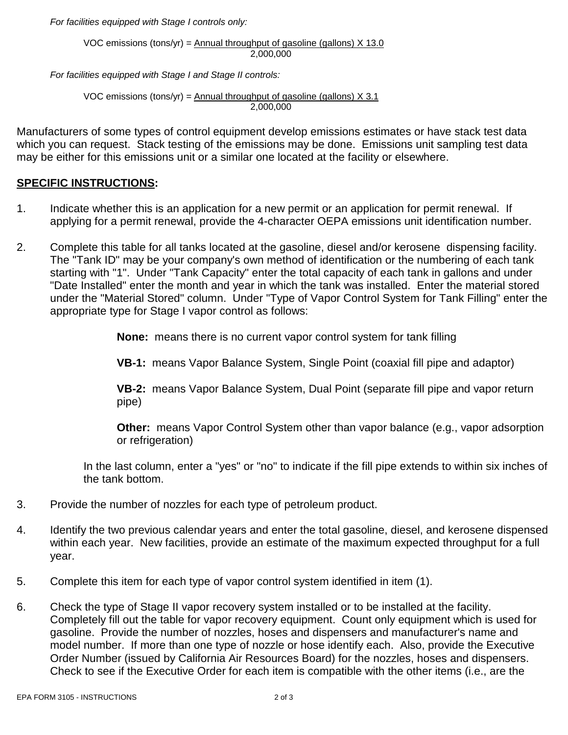*For facilities equipped with Stage I controls only:*

VOC emissions (tons/yr) = Annual throughput of gasoline (gallons)  $X$  13.0 2,000,000

*For facilities equipped with Stage I and Stage II controls:*

VOC emissions (tons/yr) =  $\Delta$ nnual throughput of gasoline (gallons) X 3.1 2,000,000

Manufacturers of some types of control equipment develop emissions estimates or have stack test data which you can request. Stack testing of the emissions may be done. Emissions unit sampling test data may be either for this emissions unit or a similar one located at the facility or elsewhere.

#### **SPECIFIC INSTRUCTIONS:**

- 1. Indicate whether this is an application for a new permit or an application for permit renewal. If applying for a permit renewal, provide the 4-character OEPA emissions unit identification number.
- 2. Complete this table for all tanks located at the gasoline, diesel and/or kerosene dispensing facility. The "Tank ID" may be your company's own method of identification or the numbering of each tank starting with "1". Under "Tank Capacity" enter the total capacity of each tank in gallons and under "Date Installed" enter the month and year in which the tank was installed. Enter the material stored under the "Material Stored" column. Under "Type of Vapor Control System for Tank Filling" enter the appropriate type for Stage I vapor control as follows:

**None:** means there is no current vapor control system for tank filling

**VB-1:** means Vapor Balance System, Single Point (coaxial fill pipe and adaptor)

**VB-2:** means Vapor Balance System, Dual Point (separate fill pipe and vapor return pipe)

**Other:** means Vapor Control System other than vapor balance (e.g., vapor adsorption or refrigeration)

In the last column, enter a "yes" or "no" to indicate if the fill pipe extends to within six inches of the tank bottom.

- 3. Provide the number of nozzles for each type of petroleum product.
- 4. Identify the two previous calendar years and enter the total gasoline, diesel, and kerosene dispensed within each year. New facilities, provide an estimate of the maximum expected throughput for a full year.
- 5. Complete this item for each type of vapor control system identified in item (1).
- 6. Check the type of Stage II vapor recovery system installed or to be installed at the facility. Completely fill out the table for vapor recovery equipment. Count only equipment which is used for gasoline. Provide the number of nozzles, hoses and dispensers and manufacturer's name and model number. If more than one type of nozzle or hose identify each. Also, provide the Executive Order Number (issued by California Air Resources Board) for the nozzles, hoses and dispensers. Check to see if the Executive Order for each item is compatible with the other items (i.e., are the